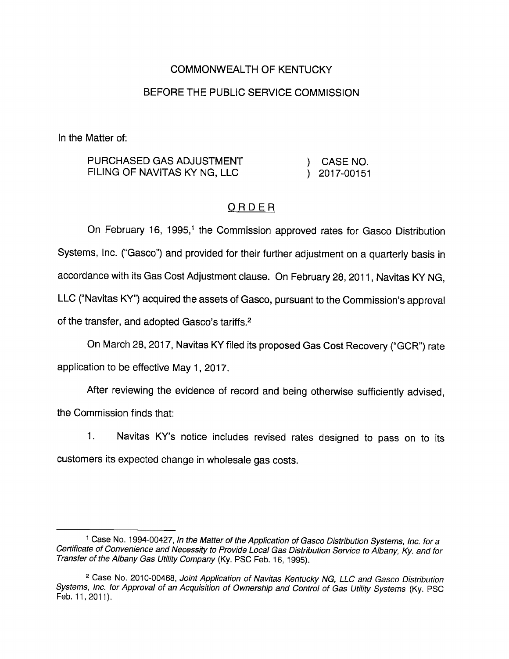## COMMONWEALTH OF KENTUCKY

### BEFORE THE PUBLIC SERVICE COMMISSION

In the Matter of:

| PURCHASED GAS ADJUSTMENT     | CASE NO.     |
|------------------------------|--------------|
| FILING OF NAVITAS KY NG, LLC | ) 2017-00151 |

## ORDER

On February 16, 1995,<sup>1</sup> the Commission approved rates for Gasco Distribution Systems, Inc. ("Gasco") and provided for their further adjustment on a quarterly basis in accordance with its Gas Cost Adjustment clause. On February28, 2011, Navitas KY NG, LLC ("Navitas KY") acquired the assets of Gasco, pursuant to the Commission's approval of the transfer, and adopted Gasco's tariffs.<sup>2</sup>

On March 28, 2017, Navitas KY filed its proposed Gas Cost Recovery ("GCR") rate application to be effective May 1, 2017.

After reviewing the evidence of record and being otherwise sufficiently advised, the Commission finds that:

1. Navitas KY's notice includes revised rates designed to pass on to its customers its expected change in wholesale gas costs.

<sup>&</sup>lt;sup>1</sup> Case No. 1994-00427, In the Matter of the Application of Gasco Distribution Systems, Inc. for a Certificate of Convenience and Necessity to Provide Local Gas Distribution Service to Albany, Ky. and for Transfer of the Albany Gas Utility Company (Ky. PSC Feb. 16, 1995).

<sup>&</sup>lt;sup>2</sup> Case No. 2010-00468, Joint Application of Navitas Kentucky NG, LLC and Gasco Distribution Systems, inc. for Approval of an Acquisition of Ownership and Control of Gas Utility Systems (Ky. PSC Feb. 11, 2011).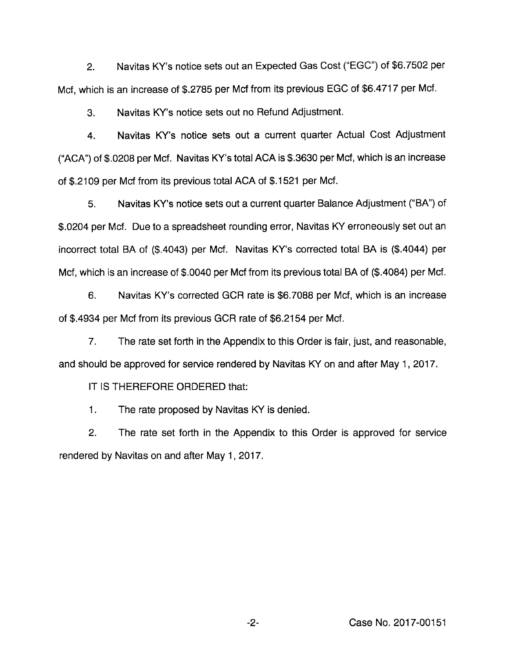2. Navitas KY's notice sets out an Expected Gas Cost ("EGG") of \$6.7502 per Met, which is an increase of \$.2785 per Mcf from its previous EGG of \$6.4717 per Met.

3. Navitas KY's notice sets out no Refund Adjustment.

4. Navitas KY's notice sets out a current quarter Actual Cost Adjustment ("AGA") of \$.0208 per Mcf. Navitas KY's total ACA is \$.3630 per Mcf, which is an increase of \$.2109 per Mcf from its previous total AGA of \$.1521 per Mcf.

5. Navitas KY's notice sets out a current quarter Balance Adjustment ("BA") of \$.0204 per Mcf. Due to a spreadsheet rounding error, Navitas KY erroneously set out an incorrect total BA of (\$.4043) per Mcf. Navitas KY's corrected total BA is (\$.4044) per Mcf, which is an increase of \$.0040 per Mcf from its previous total BA of (\$.4084) per Mcf.

6. Navitas KY's corrected GGR rate is \$6.7088 per Mcf, which is an increase of \$.4934 per Mcf from its previous GGR rate of \$6.2154 per Mcf.

7. The rate set forth in the Appendix to this Order is fair, just, and reasonable, and should be approved for service rendered by Navitas KY on and after May 1, 2017.

IT IS THEREFORE ORDERED that:

1. The rate proposed by Navitas KY is denied.

2. The rate set forth in the Appendix to this Order is approved for service rendered by Navitas on and after May 1, 2017.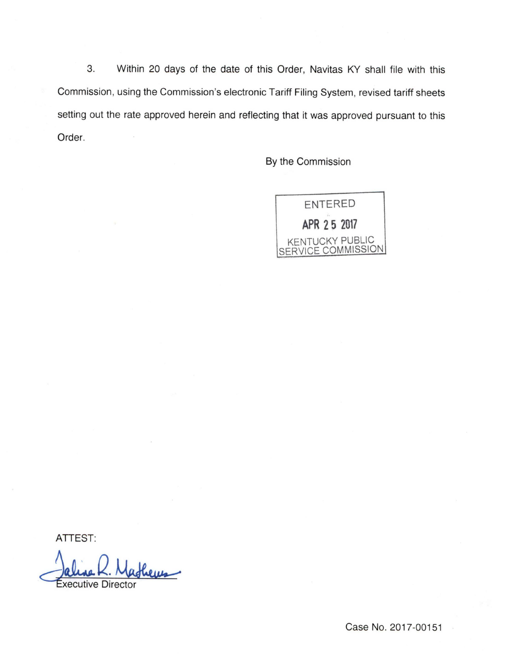3. Within 20 days of the date of this Order, Navitas KY shall file with this Commission, using the Commission's electronic Tariff Filing System, revised tariff sheets setting out the rate approved herein and reflecting that it was approved pursuant to this Order.

By the Commission



ATTEST:

Executive Director

Case No. 2017-00151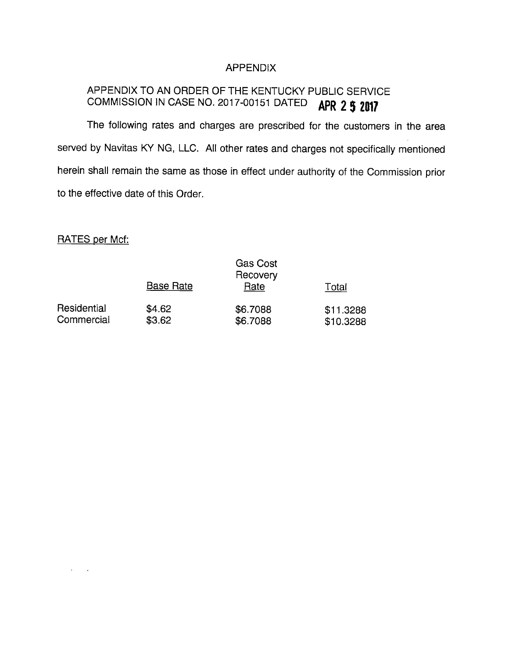### APPENDIX

# APPENDIX TO AN ORDER OF THE KENTUCKY PUBLIC SERVICE COMMISSION IN CASE NO. 2017-00151 DATED **APR 2 5 2017**

The following rates and charges are prescribed for the customers in the area served by Navitas KY NG, LLC. All other rates and charges not specifically mentioned herein shall remain the same as those in effect under authority of the Commission prior to the effective date of this Order.

RATES per Mcf:

 $\lambda_{\rm{max}}=1.5$ 

|                           | <b>Base Rate</b> | <b>Gas Cost</b><br>Recovery |                        |
|---------------------------|------------------|-----------------------------|------------------------|
|                           |                  | Rate                        | Total                  |
| Residential<br>Commercial | \$4.62<br>\$3.62 | \$6.7088<br>\$6.7088        | \$11.3288<br>\$10.3288 |